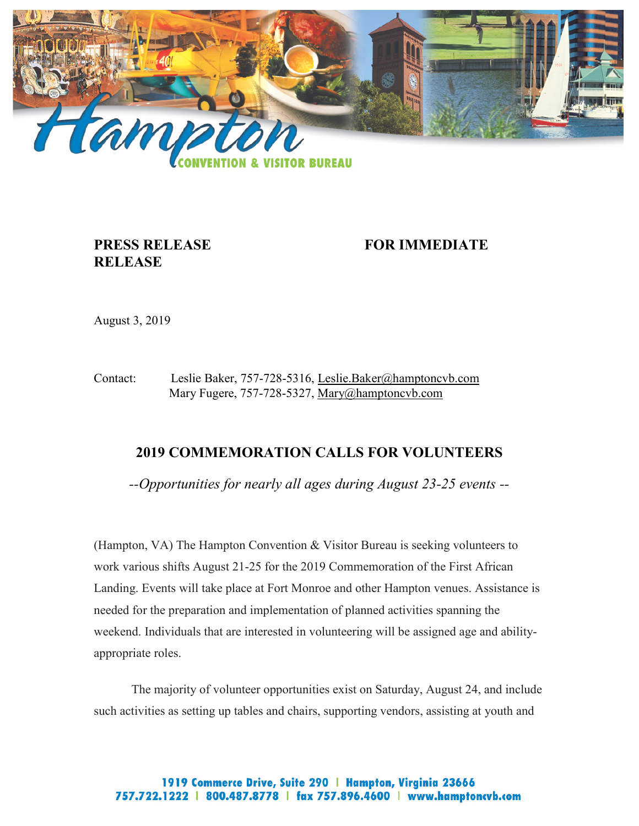

## **RELEASE**

**PRESS RELEASE FOR IMMEDIATE** 

August 3, 2019

Contact: Leslie Baker, 757-728-5316, [Leslie.Baker@hamptoncvb.com](mailto:Leslie.Baker@hamptoncvb.com) Mary Fugere, 757-728-5327, [Mary@hamptoncvb.com](mailto:mary@hamptoncvb.com)

## **2019 COMMEMORATION CALLS FOR VOLUNTEERS**

*--Opportunities for nearly all ages during August 23-25 events --*

(Hampton, VA) The Hampton Convention & Visitor Bureau is seeking volunteers to work various shifts August 21-25 for the 2019 Commemoration of the First African Landing. Events will take place at Fort Monroe and other Hampton venues. Assistance is needed for the preparation and implementation of planned activities spanning the weekend. Individuals that are interested in volunteering will be assigned age and abilityappropriate roles.

 The majority of volunteer opportunities exist on Saturday, August 24, and include such activities as setting up tables and chairs, supporting vendors, assisting at youth and